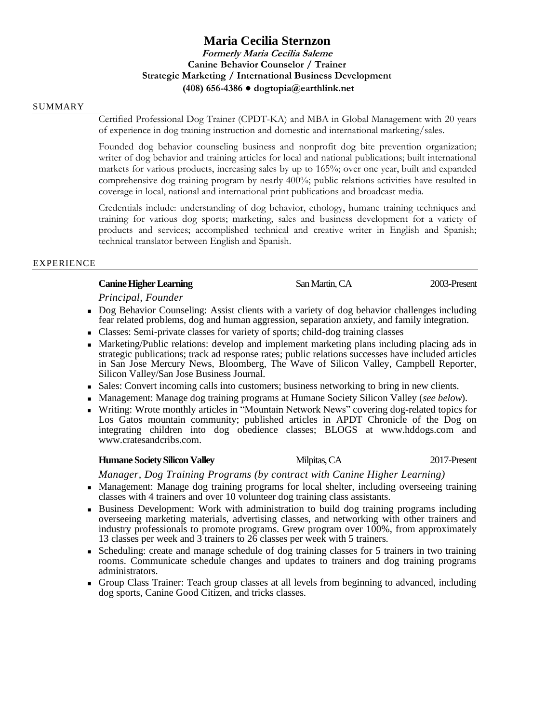# **Maria Cecilia Sternzon Formerly Maria Cecilia Saleme Canine Behavior Counselor / Trainer Strategic Marketing / International Business Development (408) 656-4386 ● dogtopia@earthlink.net**

#### SUMMARY

Certified Professional Dog Trainer (CPDT-KA) and MBA in Global Management with 20 years of experience in dog training instruction and domestic and international marketing/sales.

Founded dog behavior counseling business and nonprofit dog bite prevention organization; writer of dog behavior and training articles for local and national publications; built international markets for various products, increasing sales by up to 165%; over one year, built and expanded comprehensive dog training program by nearly 400%; public relations activities have resulted in coverage in local, national and international print publications and broadcast media.

Credentials include: understanding of dog behavior, ethology, humane training techniques and training for various dog sports; marketing, sales and business development for a variety of products and services; accomplished technical and creative writer in English and Spanish; technical translator between English and Spanish.

# EXPERIENCE

# **Canine Higher Learning San Martin, CA** 2003-Present

*Principal, Founder*

- Dog Behavior Counseling: Assist clients with a variety of dog behavior challenges including fear related problems, dog and human aggression, separation anxiety, and family integration.
- Classes: Semi-private classes for variety of sports; child-dog training classes
- Marketing/Public relations: develop and implement marketing plans including placing ads in strategic publications; track ad response rates; public relations successes have included articles in San Jose Mercury News, Bloomberg, The Wave of Silicon Valley, Campbell Reporter, Silicon Valley/San Jose Business Journal.
- Sales: Convert incoming calls into customers; business networking to bring in new clients.
- Management: Manage dog training programs at Humane Society Silicon Valley (*see below*).
- Writing: Wrote monthly articles in "Mountain Network News" covering dog-related topics for Los Gatos mountain community; published articles in APDT Chronicle of the Dog on integrating children into dog obedience classes; BLOGS at www.hddogs.com and www.cratesandcribs.com.

### **Humane Society Silicon Valley Millought Milpitas, CA** 2017-Present

*Manager, Dog Training Programs (by contract with Canine Higher Learning)*

- Management: Manage dog training programs for local shelter, including overseeing training classes with 4 trainers and over 10 volunteer dog training class assistants.
- Business Development: Work with administration to build dog training programs including overseeing marketing materials, advertising classes, and networking with other trainers and industry professionals to promote programs. Grew program over 100%, from approximately 13 classes per week and 3 trainers to 26 classes per week with 5 trainers.
- Scheduling: create and manage schedule of dog training classes for 5 trainers in two training rooms. Communicate schedule changes and updates to trainers and dog training programs administrators.
- Group Class Trainer: Teach group classes at all levels from beginning to advanced, including dog sports, Canine Good Citizen, and tricks classes.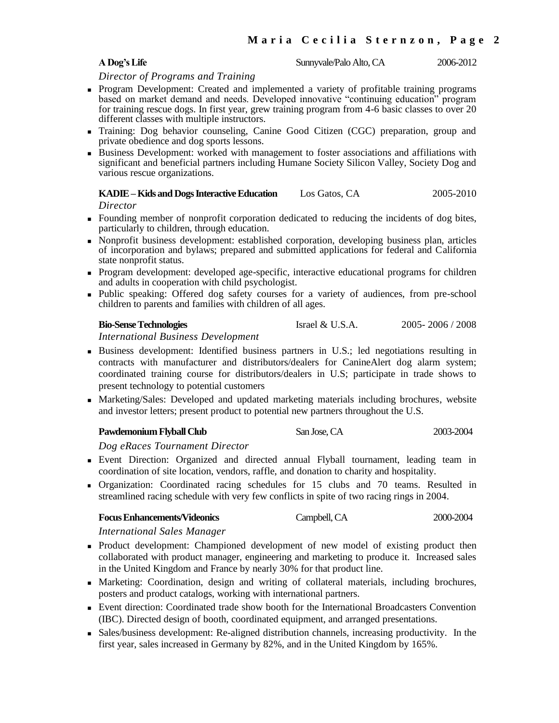**A Dog's Life** Sunnyvale/Palo Alto, CA 2006-2012

*Director of Programs and Training*

- **Program Development: Created and implemented a variety of profitable training programs** based on market demand and needs. Developed innovative "continuing education" program for training rescue dogs. In first year, grew training program from 4-6 basic classes to over 20 different classes with multiple instructors.
- Training: Dog behavior counseling, Canine Good Citizen (CGC) preparation, group and private obedience and dog sports lessons.
- Business Development: worked with management to foster associations and affiliations with significant and beneficial partners including Humane Society Silicon Valley, Society Dog and various rescue organizations.

**KADIE –Kids and Dogs Interactive Education** Los Gatos, CA 2005-2010 *Director*

- Founding member of nonprofit corporation dedicated to reducing the incidents of dog bites, particularly to children, through education.
- Nonprofit business development: established corporation, developing business plan, articles of incorporation and bylaws; prepared and submitted applications for federal and California state nonprofit status.
- Program development: developed age-specific, interactive educational programs for children and adults in cooperation with child psychologist.
- Public speaking: Offered dog safety courses for a variety of audiences, from pre-school children to parents and families with children of all ages.

**Bio-Sense Technologies** Israel & U.S.A. 2005- 2006 / 2008

*International Business Development*

- Business development: Identified business partners in U.S.; led negotiations resulting in contracts with manufacturer and distributors/dealers for CanineAlert dog alarm system; coordinated training course for distributors/dealers in U.S; participate in trade shows to present technology to potential customers
- Marketing/Sales: Developed and updated marketing materials including brochures, website and investor letters; present product to potential new partners throughout the U.S.

| <b>Pawdemonium Flyball Club</b> | San Jose, CA | 2003-2004 |
|---------------------------------|--------------|-----------|
|                                 |              |           |

*Dog eRaces Tournament Director*

- Event Direction: Organized and directed annual Flyball tournament, leading team in coordination of site location, vendors, raffle, and donation to charity and hospitality.
- Organization: Coordinated racing schedules for 15 clubs and 70 teams. Resulted in streamlined racing schedule with very few conflicts in spite of two racing rings in 2004.

| <b>Focus Enhancements/Videonics</b> | Campbell, CA | 2000-2004 |
|-------------------------------------|--------------|-----------|
|-------------------------------------|--------------|-----------|

*International Sales Manager*

- Product development: Championed development of new model of existing product then collaborated with product manager, engineering and marketing to produce it. Increased sales in the United Kingdom and France by nearly 30% for that product line.
- Marketing: Coordination, design and writing of collateral materials, including brochures, posters and product catalogs, working with international partners.
- Event direction: Coordinated trade show booth for the International Broadcasters Convention (IBC). Directed design of booth, coordinated equipment, and arranged presentations.
- Sales/business development: Re-aligned distribution channels, increasing productivity. In the first year, sales increased in Germany by 82%, and in the United Kingdom by 165%.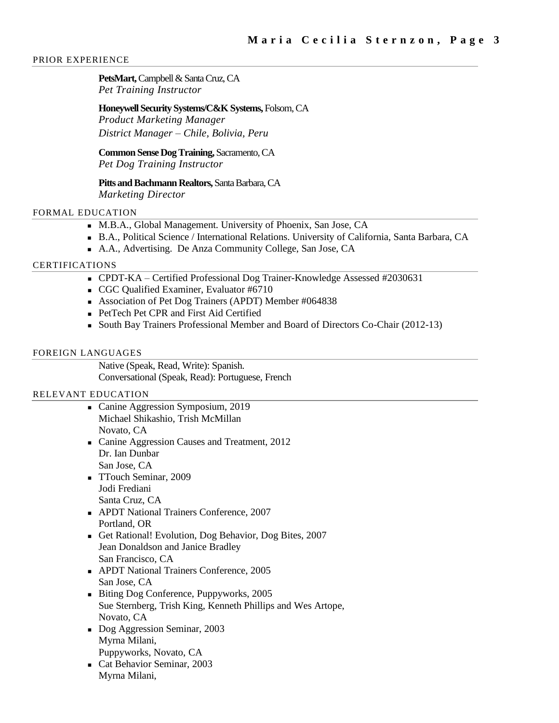### PRIOR EXPERIENCE

PetsMart, Campbell & Santa Cruz, CA *Pet Training Instructor*

# **Honeywell Security Systems/C&K Systems,** Folsom, CA

*Product Marketing Manager District Manager – Chile, Bolivia, Peru*

**Common Sense Dog Training,** Sacramento, CA *Pet Dog Training Instructor*

**Pitts and Bachmann Realtors,** Santa Barbara, CA *Marketing Director*

# FORMAL EDUCATION

- M.B.A., Global Management. University of Phoenix, San Jose, CA
- B.A., Political Science / International Relations. University of California, Santa Barbara, CA
- A.A., Advertising. De Anza Community College, San Jose, CA

# CERTIFICATIONS

- CPDT-KA Certified Professional Dog Trainer-Knowledge Assessed #2030631
- CGC Qualified Examiner, Evaluator #6710
- Association of Pet Dog Trainers (APDT) Member #064838
- **PetTech Pet CPR and First Aid Certified**
- South Bay Trainers Professional Member and Board of Directors Co-Chair (2012-13)

# FOREIGN LANGUAGES

Native (Speak, Read, Write): Spanish. Conversational (Speak, Read): Portuguese, French

# RELEVANT EDUCATION

- Canine Aggression Symposium, 2019 Michael Shikashio, Trish McMillan Novato, CA
- Canine Aggression Causes and Treatment, 2012 Dr. Ian Dunbar San Jose, CA
- TTouch Seminar, 2009 Jodi Frediani Santa Cruz, CA
- APDT National Trainers Conference, 2007 Portland, OR
- Get Rational! Evolution, Dog Behavior, Dog Bites, 2007 Jean Donaldson and Janice Bradley San Francisco, CA
- APDT National Trainers Conference, 2005 San Jose, CA
- Biting Dog Conference, Puppyworks, 2005 Sue Sternberg, Trish King, Kenneth Phillips and Wes Artope, Novato, CA
- Dog Aggression Seminar, 2003 Myrna Milani, Puppyworks, Novato, CA
- Cat Behavior Seminar, 2003 Myrna Milani,